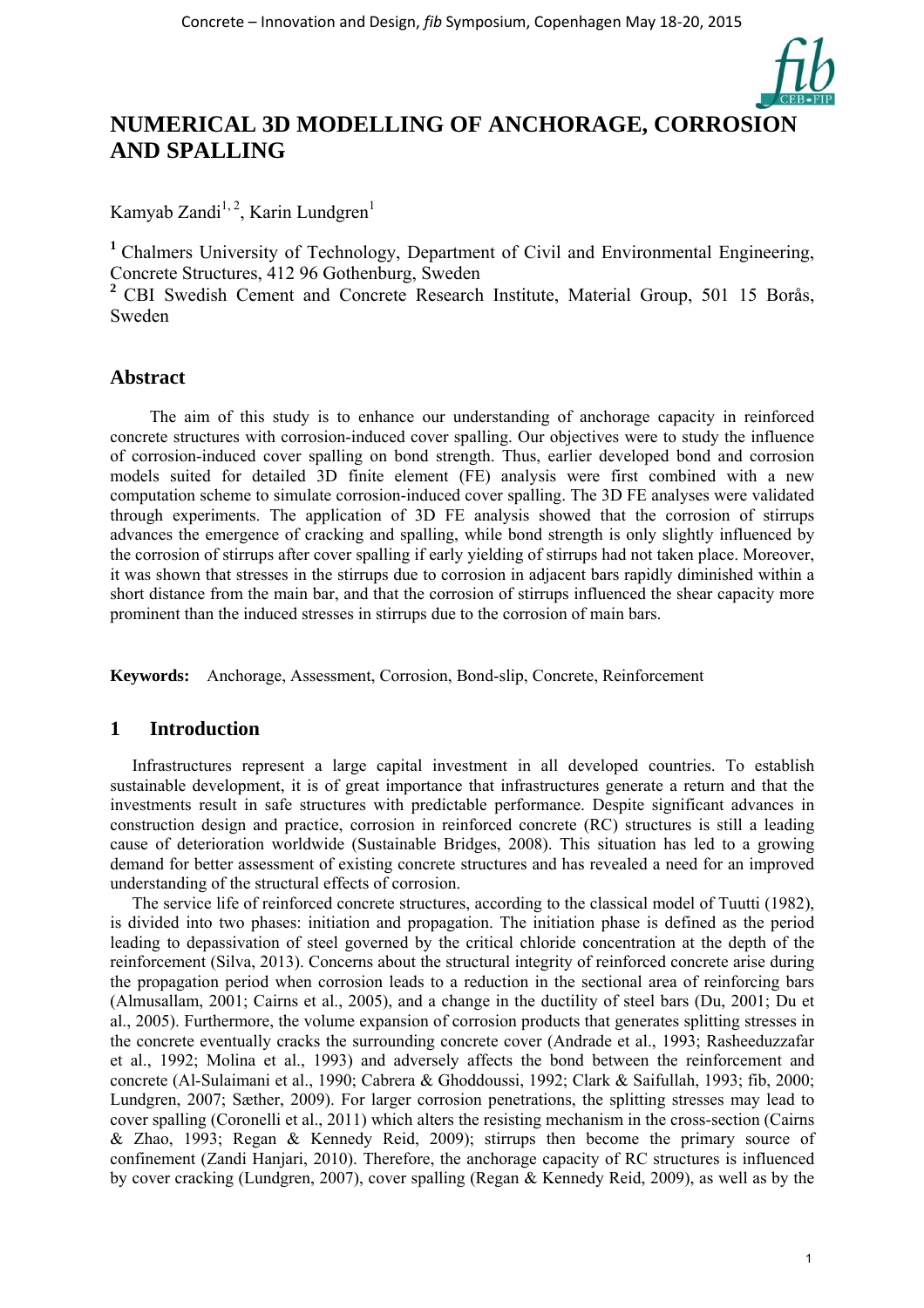

# **NUMERICAL 3D MODELLING OF ANCHORAGE, CORROSION AND SPALLING**

Kamyab Zandi<sup>1, 2</sup>, Karin Lundgren<sup>1</sup>

<sup>1</sup> Chalmers University of Technology, Department of Civil and Environmental Engineering, Concrete Structures, 412 96 Gothenburg, Sweden

**<sup>2</sup>** CBI Swedish Cement and Concrete Research Institute, Material Group, 501 15 Borås, Sweden

# **Abstract**

The aim of this study is to enhance our understanding of anchorage capacity in reinforced concrete structures with corrosion-induced cover spalling. Our objectives were to study the influence of corrosion-induced cover spalling on bond strength. Thus, earlier developed bond and corrosion models suited for detailed 3D finite element (FE) analysis were first combined with a new computation scheme to simulate corrosion-induced cover spalling. The 3D FE analyses were validated through experiments. The application of 3D FE analysis showed that the corrosion of stirrups advances the emergence of cracking and spalling, while bond strength is only slightly influenced by the corrosion of stirrups after cover spalling if early yielding of stirrups had not taken place. Moreover, it was shown that stresses in the stirrups due to corrosion in adjacent bars rapidly diminished within a short distance from the main bar, and that the corrosion of stirrups influenced the shear capacity more prominent than the induced stresses in stirrups due to the corrosion of main bars.

**Keywords:** Anchorage, Assessment, Corrosion, Bond-slip, Concrete, Reinforcement

### **1 Introduction**

Infrastructures represent a large capital investment in all developed countries. To establish sustainable development, it is of great importance that infrastructures generate a return and that the investments result in safe structures with predictable performance. Despite significant advances in construction design and practice, corrosion in reinforced concrete (RC) structures is still a leading cause of deterioration worldwide (Sustainable Bridges, 2008). This situation has led to a growing demand for better assessment of existing concrete structures and has revealed a need for an improved understanding of the structural effects of corrosion.

The service life of reinforced concrete structures, according to the classical model of Tuutti (1982), is divided into two phases: initiation and propagation. The initiation phase is defined as the period leading to depassivation of steel governed by the critical chloride concentration at the depth of the reinforcement (Silva, 2013). Concerns about the structural integrity of reinforced concrete arise during the propagation period when corrosion leads to a reduction in the sectional area of reinforcing bars (Almusallam, 2001; Cairns et al., 2005), and a change in the ductility of steel bars (Du, 2001; Du et al., 2005). Furthermore, the volume expansion of corrosion products that generates splitting stresses in the concrete eventually cracks the surrounding concrete cover (Andrade et al., 1993; Rasheeduzzafar et al., 1992; Molina et al., 1993) and adversely affects the bond between the reinforcement and concrete (Al-Sulaimani et al., 1990; Cabrera & Ghoddoussi, 1992; Clark & Saifullah, 1993; fib, 2000; Lundgren, 2007; Sæther, 2009). For larger corrosion penetrations, the splitting stresses may lead to cover spalling (Coronelli et al., 2011) which alters the resisting mechanism in the cross-section (Cairns & Zhao, 1993; Regan & Kennedy Reid, 2009); stirrups then become the primary source of confinement (Zandi Hanjari, 2010). Therefore, the anchorage capacity of RC structures is influenced by cover cracking (Lundgren, 2007), cover spalling (Regan & Kennedy Reid, 2009), as well as by the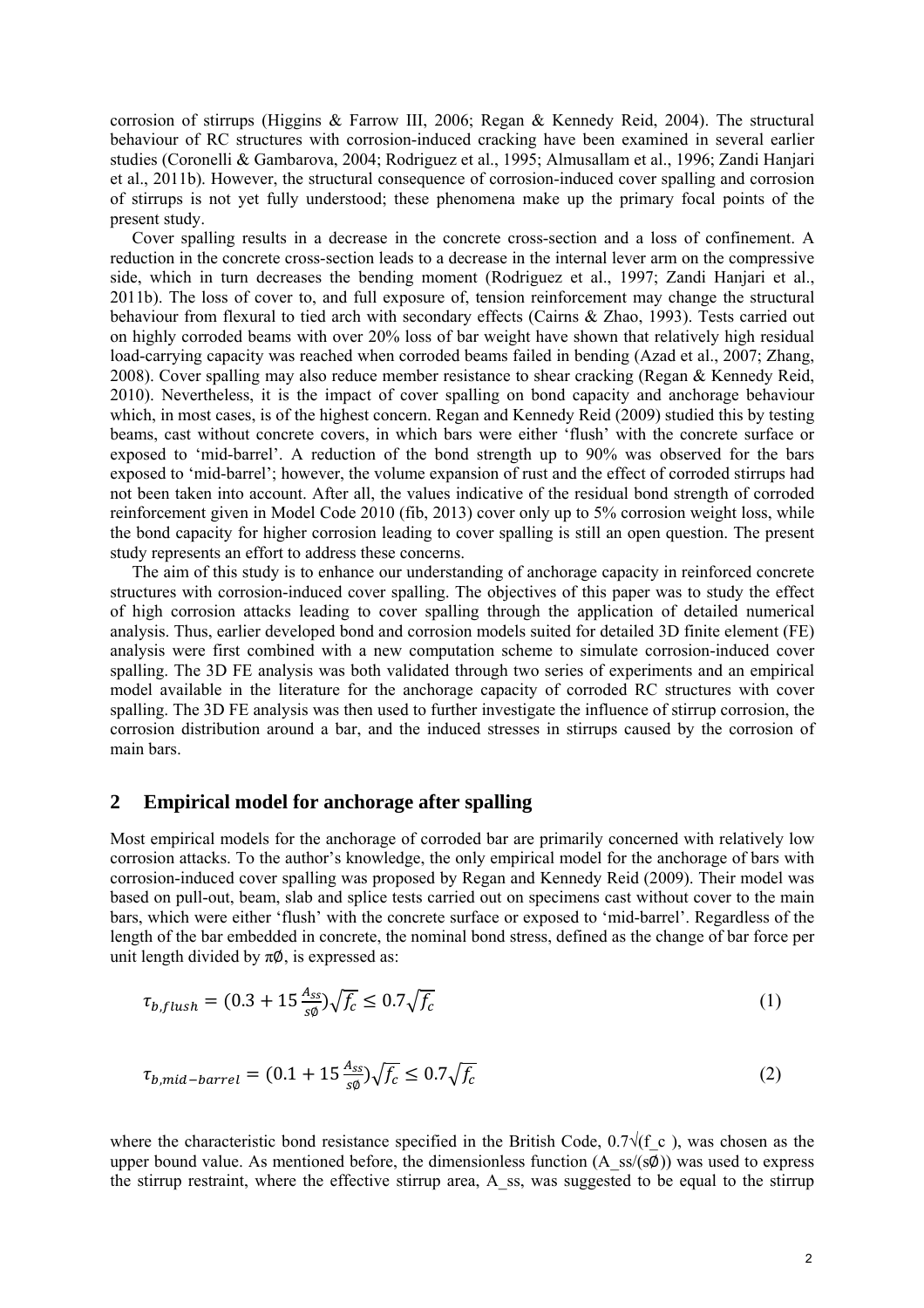corrosion of stirrups (Higgins & Farrow III, 2006; Regan & Kennedy Reid, 2004). The structural behaviour of RC structures with corrosion-induced cracking have been examined in several earlier studies (Coronelli & Gambarova, 2004; Rodriguez et al., 1995; Almusallam et al., 1996; Zandi Hanjari et al., 2011b). However, the structural consequence of corrosion-induced cover spalling and corrosion of stirrups is not yet fully understood; these phenomena make up the primary focal points of the present study.

Cover spalling results in a decrease in the concrete cross-section and a loss of confinement. A reduction in the concrete cross-section leads to a decrease in the internal lever arm on the compressive side, which in turn decreases the bending moment (Rodriguez et al., 1997; Zandi Hanjari et al., 2011b). The loss of cover to, and full exposure of, tension reinforcement may change the structural behaviour from flexural to tied arch with secondary effects (Cairns & Zhao, 1993). Tests carried out on highly corroded beams with over 20% loss of bar weight have shown that relatively high residual load-carrying capacity was reached when corroded beams failed in bending (Azad et al., 2007; Zhang, 2008). Cover spalling may also reduce member resistance to shear cracking (Regan & Kennedy Reid, 2010). Nevertheless, it is the impact of cover spalling on bond capacity and anchorage behaviour which, in most cases, is of the highest concern. Regan and Kennedy Reid (2009) studied this by testing beams, cast without concrete covers, in which bars were either 'flush' with the concrete surface or exposed to 'mid-barrel'. A reduction of the bond strength up to 90% was observed for the bars exposed to 'mid-barrel'; however, the volume expansion of rust and the effect of corroded stirrups had not been taken into account. After all, the values indicative of the residual bond strength of corroded reinforcement given in Model Code 2010 (fib, 2013) cover only up to 5% corrosion weight loss, while the bond capacity for higher corrosion leading to cover spalling is still an open question. The present study represents an effort to address these concerns.

The aim of this study is to enhance our understanding of anchorage capacity in reinforced concrete structures with corrosion-induced cover spalling. The objectives of this paper was to study the effect of high corrosion attacks leading to cover spalling through the application of detailed numerical analysis. Thus, earlier developed bond and corrosion models suited for detailed 3D finite element (FE) analysis were first combined with a new computation scheme to simulate corrosion-induced cover spalling. The 3D FE analysis was both validated through two series of experiments and an empirical model available in the literature for the anchorage capacity of corroded RC structures with cover spalling. The 3D FE analysis was then used to further investigate the influence of stirrup corrosion, the corrosion distribution around a bar, and the induced stresses in stirrups caused by the corrosion of main bars.

### **2 Empirical model for anchorage after spalling**

Most empirical models for the anchorage of corroded bar are primarily concerned with relatively low corrosion attacks. To the author's knowledge, the only empirical model for the anchorage of bars with corrosion-induced cover spalling was proposed by Regan and Kennedy Reid (2009). Their model was based on pull-out, beam, slab and splice tests carried out on specimens cast without cover to the main bars, which were either 'flush' with the concrete surface or exposed to 'mid-barrel'. Regardless of the length of the bar embedded in concrete, the nominal bond stress, defined as the change of bar force per unit length divided by  $\pi\emptyset$ , is expressed as:

$$
\tau_{b, flush} = (0.3 + 15 \frac{A_{ss}}{s\phi}) \sqrt{f_c} \le 0.7 \sqrt{f_c}
$$
\n<sup>(1)</sup>

$$
\tau_{b, mid-barrel} = (0.1 + 15 \frac{A_{ss}}{s\varnothing}) \sqrt{f_c} \le 0.7 \sqrt{f_c}
$$
 (2)

where the characteristic bond resistance specified in the British Code,  $0.7\sqrt{(f c)}$ , was chosen as the upper bound value. As mentioned before, the dimensionless function (A\_ss/(sØ)) was used to express the stirrup restraint, where the effective stirrup area, A\_ss, was suggested to be equal to the stirrup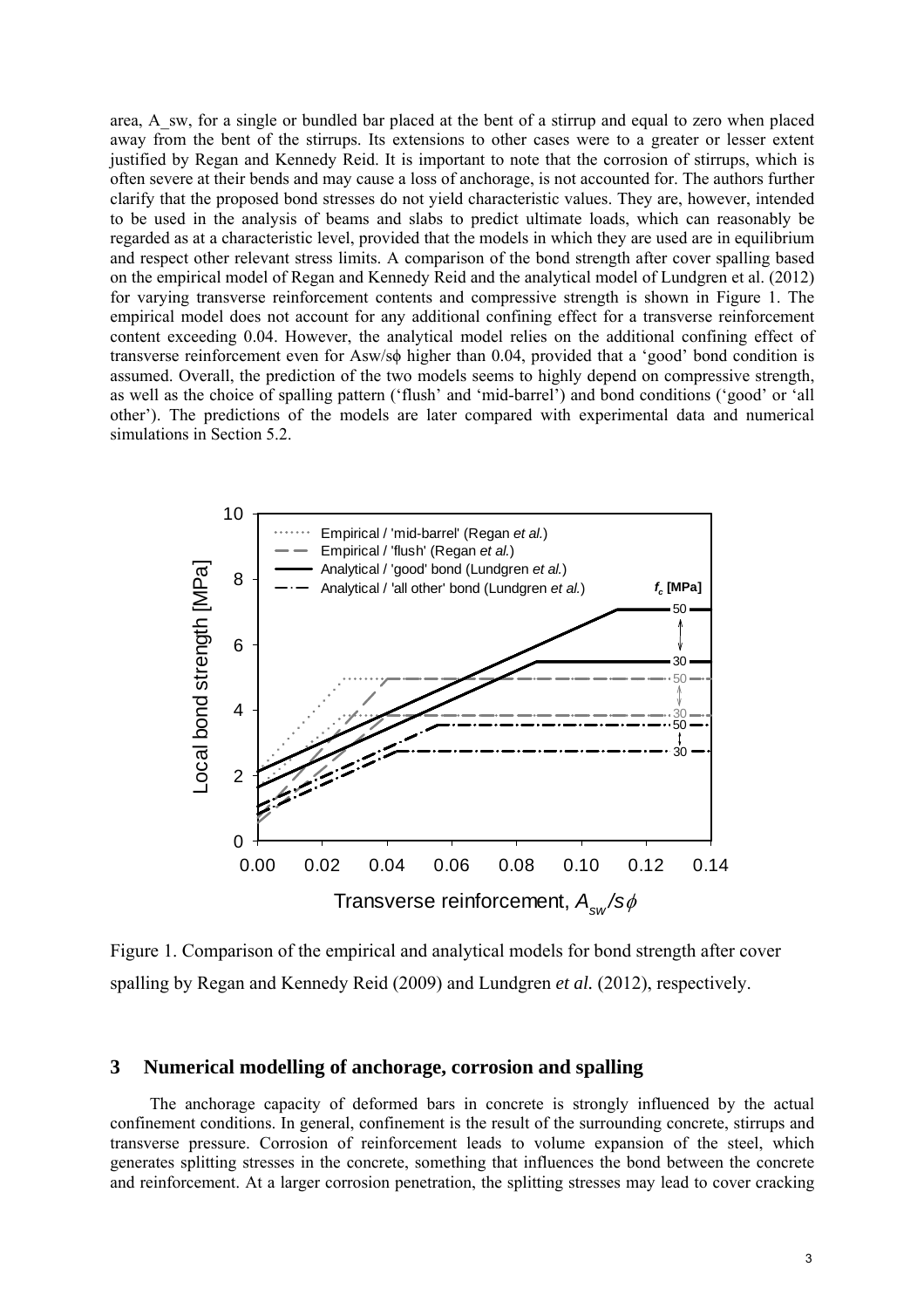area, A\_sw, for a single or bundled bar placed at the bent of a stirrup and equal to zero when placed away from the bent of the stirrups. Its extensions to other cases were to a greater or lesser extent justified by Regan and Kennedy Reid. It is important to note that the corrosion of stirrups, which is often severe at their bends and may cause a loss of anchorage, is not accounted for. The authors further clarify that the proposed bond stresses do not yield characteristic values. They are, however, intended to be used in the analysis of beams and slabs to predict ultimate loads, which can reasonably be regarded as at a characteristic level, provided that the models in which they are used are in equilibrium and respect other relevant stress limits. A comparison of the bond strength after cover spalling based on the empirical model of Regan and Kennedy Reid and the analytical model of Lundgren et al. (2012) for varying transverse reinforcement contents and compressive strength is shown in Figure 1. The empirical model does not account for any additional confining effect for a transverse reinforcement content exceeding 0.04. However, the analytical model relies on the additional confining effect of transverse reinforcement even for Asw/sϕ higher than 0.04, provided that a 'good' bond condition is assumed. Overall, the prediction of the two models seems to highly depend on compressive strength, as well as the choice of spalling pattern ('flush' and 'mid-barrel') and bond conditions ('good' or 'all other'). The predictions of the models are later compared with experimental data and numerical simulations in Section 5.2.



Figure 1. Comparison of the empirical and analytical models for bond strength after cover spalling by Regan and Kennedy Reid (2009) and Lundgren *et al.* (2012), respectively.

# **3 Numerical modelling of anchorage, corrosion and spalling**

The anchorage capacity of deformed bars in concrete is strongly influenced by the actual confinement conditions. In general, confinement is the result of the surrounding concrete, stirrups and transverse pressure. Corrosion of reinforcement leads to volume expansion of the steel, which generates splitting stresses in the concrete, something that influences the bond between the concrete and reinforcement. At a larger corrosion penetration, the splitting stresses may lead to cover cracking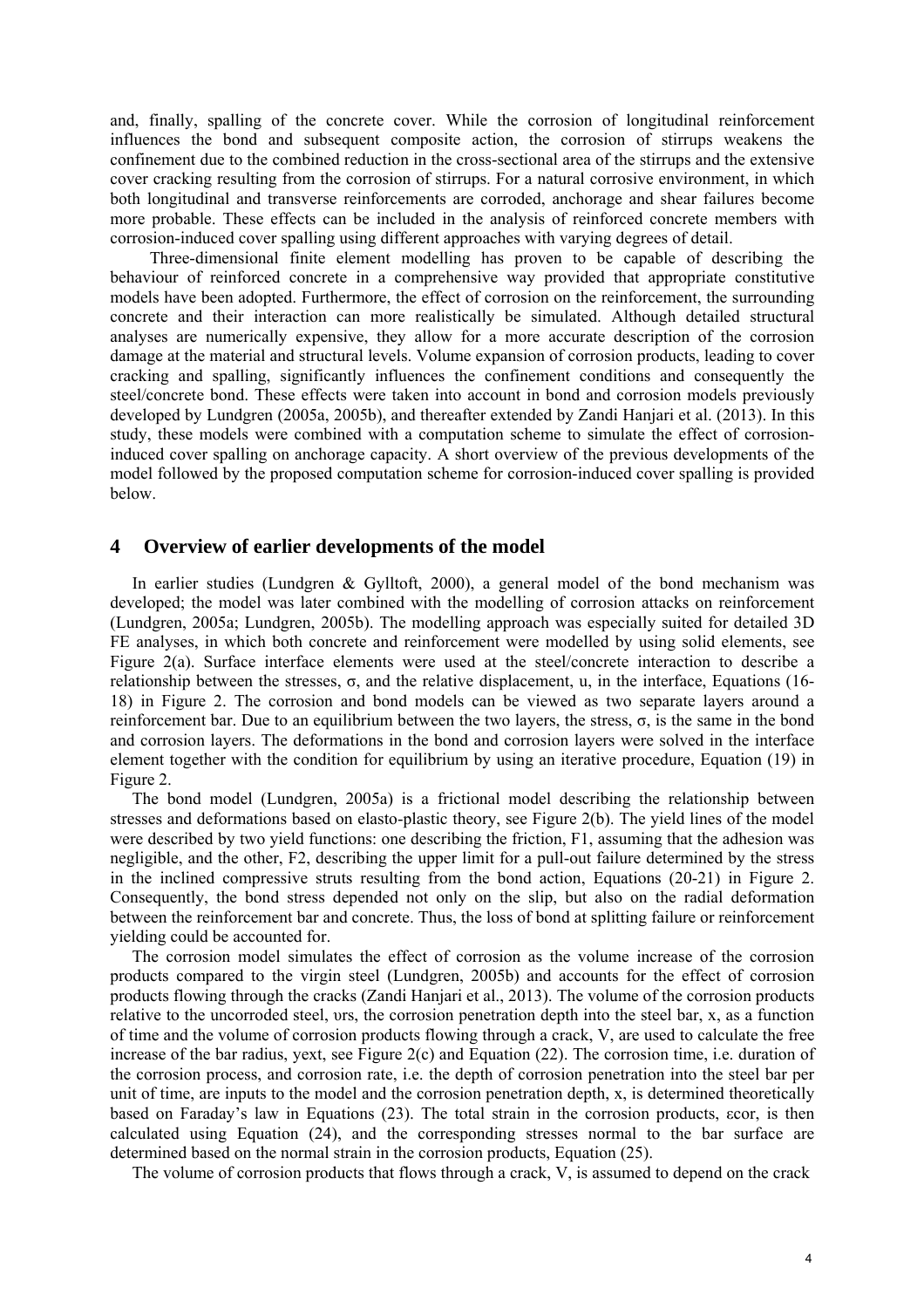and, finally, spalling of the concrete cover. While the corrosion of longitudinal reinforcement influences the bond and subsequent composite action, the corrosion of stirrups weakens the confinement due to the combined reduction in the cross-sectional area of the stirrups and the extensive cover cracking resulting from the corrosion of stirrups. For a natural corrosive environment, in which both longitudinal and transverse reinforcements are corroded, anchorage and shear failures become more probable. These effects can be included in the analysis of reinforced concrete members with corrosion-induced cover spalling using different approaches with varying degrees of detail.

Three-dimensional finite element modelling has proven to be capable of describing the behaviour of reinforced concrete in a comprehensive way provided that appropriate constitutive models have been adopted. Furthermore, the effect of corrosion on the reinforcement, the surrounding concrete and their interaction can more realistically be simulated. Although detailed structural analyses are numerically expensive, they allow for a more accurate description of the corrosion damage at the material and structural levels. Volume expansion of corrosion products, leading to cover cracking and spalling, significantly influences the confinement conditions and consequently the steel/concrete bond. These effects were taken into account in bond and corrosion models previously developed by Lundgren (2005a, 2005b), and thereafter extended by Zandi Hanjari et al. (2013). In this study, these models were combined with a computation scheme to simulate the effect of corrosioninduced cover spalling on anchorage capacity. A short overview of the previous developments of the model followed by the proposed computation scheme for corrosion-induced cover spalling is provided below.

#### **4 Overview of earlier developments of the model**

In earlier studies (Lundgren & Gylltoft, 2000), a general model of the bond mechanism was developed; the model was later combined with the modelling of corrosion attacks on reinforcement (Lundgren, 2005a; Lundgren, 2005b). The modelling approach was especially suited for detailed 3D FE analyses, in which both concrete and reinforcement were modelled by using solid elements, see Figure 2(a). Surface interface elements were used at the steel/concrete interaction to describe a relationship between the stresses, σ, and the relative displacement, u, in the interface, Equations (16- 18) in Figure 2. The corrosion and bond models can be viewed as two separate layers around a reinforcement bar. Due to an equilibrium between the two layers, the stress, σ, is the same in the bond and corrosion layers. The deformations in the bond and corrosion layers were solved in the interface element together with the condition for equilibrium by using an iterative procedure, Equation (19) in Figure 2.

The bond model (Lundgren, 2005a) is a frictional model describing the relationship between stresses and deformations based on elasto-plastic theory, see Figure 2(b). The yield lines of the model were described by two yield functions: one describing the friction, F1, assuming that the adhesion was negligible, and the other, F2, describing the upper limit for a pull-out failure determined by the stress in the inclined compressive struts resulting from the bond action, Equations (20-21) in Figure 2. Consequently, the bond stress depended not only on the slip, but also on the radial deformation between the reinforcement bar and concrete. Thus, the loss of bond at splitting failure or reinforcement yielding could be accounted for.

The corrosion model simulates the effect of corrosion as the volume increase of the corrosion products compared to the virgin steel (Lundgren, 2005b) and accounts for the effect of corrosion products flowing through the cracks (Zandi Hanjari et al., 2013). The volume of the corrosion products relative to the uncorroded steel, υrs, the corrosion penetration depth into the steel bar, x, as a function of time and the volume of corrosion products flowing through a crack, V, are used to calculate the free increase of the bar radius, yext, see Figure  $2(c)$  and Equation (22). The corrosion time, i.e. duration of the corrosion process, and corrosion rate, i.e. the depth of corrosion penetration into the steel bar per unit of time, are inputs to the model and the corrosion penetration depth, x, is determined theoretically based on Faraday's law in Equations (23). The total strain in the corrosion products, εcor, is then calculated using Equation (24), and the corresponding stresses normal to the bar surface are determined based on the normal strain in the corrosion products, Equation (25).

The volume of corrosion products that flows through a crack, V, is assumed to depend on the crack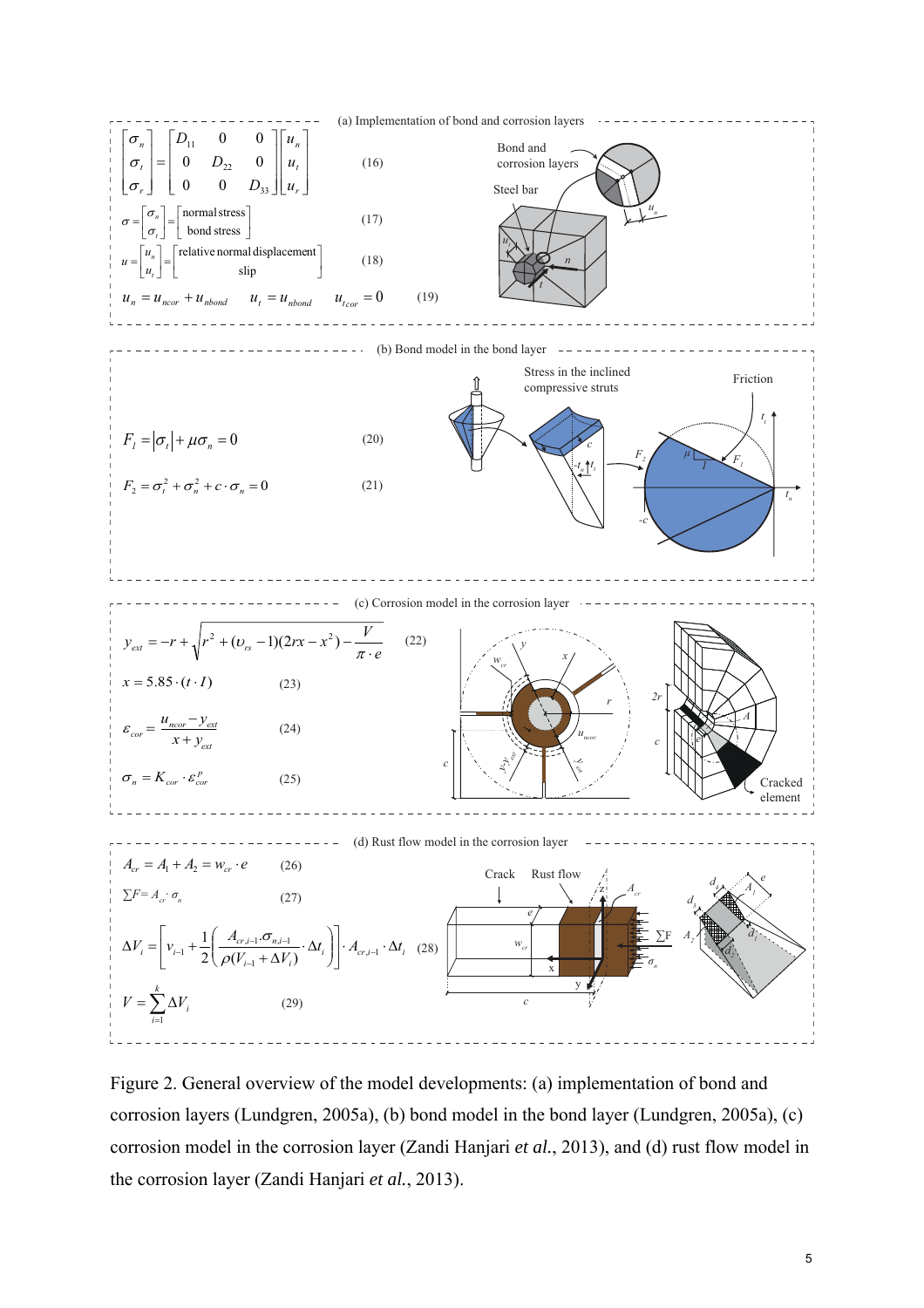

Figure 2. General overview of the model developments: (a) implementation of bond and corrosion layers (Lundgren, 2005a), (b) bond model in the bond layer (Lundgren, 2005a), (c) corrosion model in the corrosion layer (Zandi Hanjari *et al.*, 2013), and (d) rust flow model in the corrosion layer (Zandi Hanjari *et al.*, 2013).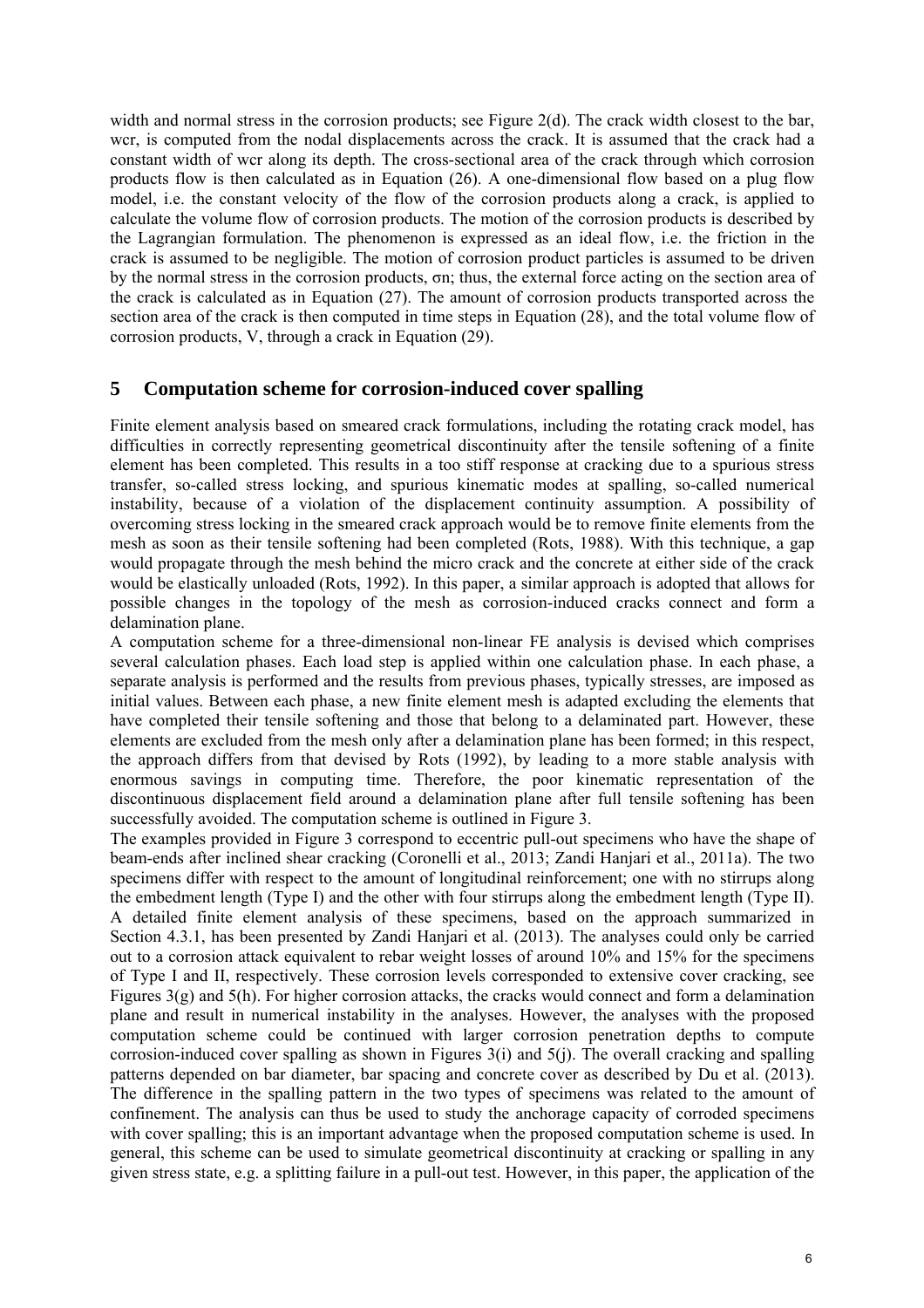width and normal stress in the corrosion products; see Figure  $2(d)$ . The crack width closest to the bar, wcr, is computed from the nodal displacements across the crack. It is assumed that the crack had a constant width of wcr along its depth. The cross-sectional area of the crack through which corrosion products flow is then calculated as in Equation (26). A one-dimensional flow based on a plug flow model, i.e. the constant velocity of the flow of the corrosion products along a crack, is applied to calculate the volume flow of corrosion products. The motion of the corrosion products is described by the Lagrangian formulation. The phenomenon is expressed as an ideal flow, i.e. the friction in the crack is assumed to be negligible. The motion of corrosion product particles is assumed to be driven by the normal stress in the corrosion products, σn; thus, the external force acting on the section area of the crack is calculated as in Equation (27). The amount of corrosion products transported across the section area of the crack is then computed in time steps in Equation (28), and the total volume flow of corrosion products, V, through a crack in Equation (29).

### **5 Computation scheme for corrosion-induced cover spalling**

Finite element analysis based on smeared crack formulations, including the rotating crack model, has difficulties in correctly representing geometrical discontinuity after the tensile softening of a finite element has been completed. This results in a too stiff response at cracking due to a spurious stress transfer, so-called stress locking, and spurious kinematic modes at spalling, so-called numerical instability, because of a violation of the displacement continuity assumption. A possibility of overcoming stress locking in the smeared crack approach would be to remove finite elements from the mesh as soon as their tensile softening had been completed (Rots, 1988). With this technique, a gap would propagate through the mesh behind the micro crack and the concrete at either side of the crack would be elastically unloaded (Rots, 1992). In this paper, a similar approach is adopted that allows for possible changes in the topology of the mesh as corrosion-induced cracks connect and form a delamination plane.

A computation scheme for a three-dimensional non-linear FE analysis is devised which comprises several calculation phases. Each load step is applied within one calculation phase. In each phase, a separate analysis is performed and the results from previous phases, typically stresses, are imposed as initial values. Between each phase, a new finite element mesh is adapted excluding the elements that have completed their tensile softening and those that belong to a delaminated part. However, these elements are excluded from the mesh only after a delamination plane has been formed; in this respect, the approach differs from that devised by Rots (1992), by leading to a more stable analysis with enormous savings in computing time. Therefore, the poor kinematic representation of the discontinuous displacement field around a delamination plane after full tensile softening has been successfully avoided. The computation scheme is outlined in Figure 3.

The examples provided in Figure 3 correspond to eccentric pull-out specimens who have the shape of beam-ends after inclined shear cracking (Coronelli et al., 2013; Zandi Hanjari et al., 2011a). The two specimens differ with respect to the amount of longitudinal reinforcement; one with no stirrups along the embedment length (Type I) and the other with four stirrups along the embedment length (Type II). A detailed finite element analysis of these specimens, based on the approach summarized in Section 4.3.1, has been presented by Zandi Hanjari et al. (2013). The analyses could only be carried out to a corrosion attack equivalent to rebar weight losses of around 10% and 15% for the specimens of Type I and II, respectively. These corrosion levels corresponded to extensive cover cracking, see Figures 3(g) and 5(h). For higher corrosion attacks, the cracks would connect and form a delamination plane and result in numerical instability in the analyses. However, the analyses with the proposed computation scheme could be continued with larger corrosion penetration depths to compute corrosion-induced cover spalling as shown in Figures 3(i) and 5(j). The overall cracking and spalling patterns depended on bar diameter, bar spacing and concrete cover as described by Du et al. (2013). The difference in the spalling pattern in the two types of specimens was related to the amount of confinement. The analysis can thus be used to study the anchorage capacity of corroded specimens with cover spalling; this is an important advantage when the proposed computation scheme is used. In general, this scheme can be used to simulate geometrical discontinuity at cracking or spalling in any given stress state, e.g. a splitting failure in a pull-out test. However, in this paper, the application of the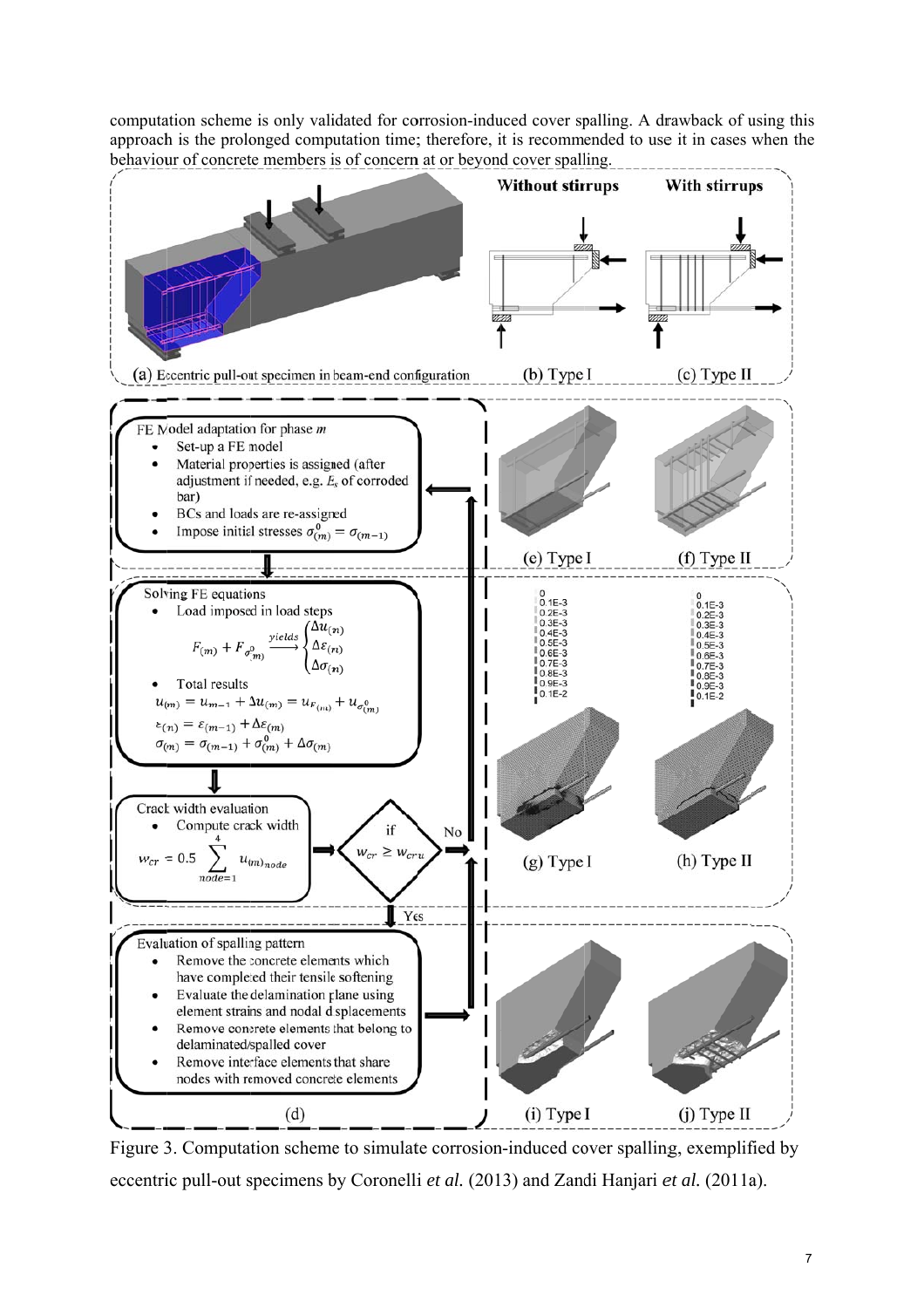computation scheme is only validated for corrosion-induced cover spalling. A drawback of using this approach is the prolonged computation time; therefore, it is recommended to use it in cases when the behaviour of concrete members is of concern at or beyond cover spalling.



Figure 3. Computation scheme to simulate corrosion-induced cover spalling, exemplified by eccentric pull-out specimens by Coronelli *et al.* (2013) and Zandi Hanjari *et al.* (2011a).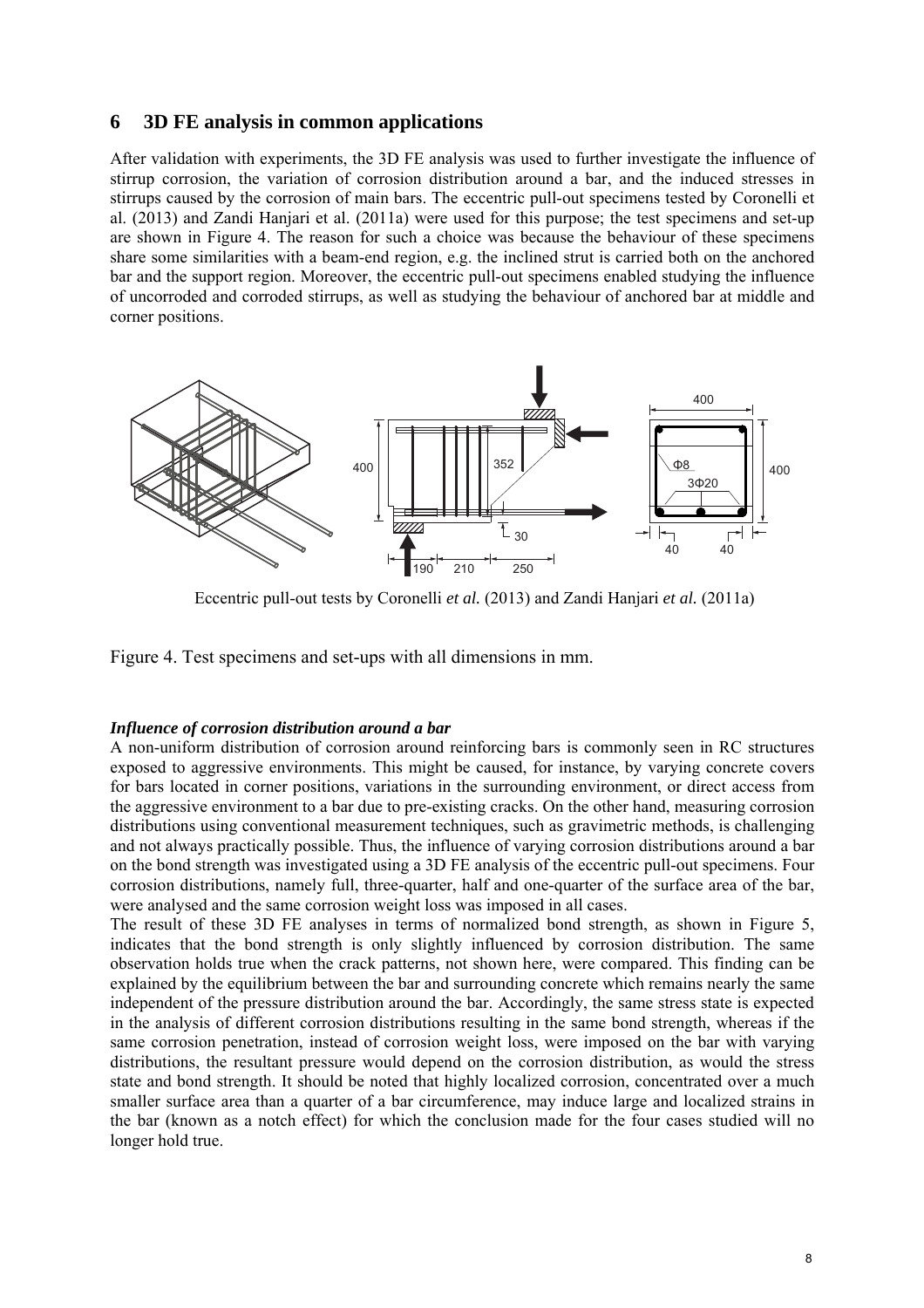### **6 3D FE analysis in common applications**

After validation with experiments, the 3D FE analysis was used to further investigate the influence of stirrup corrosion, the variation of corrosion distribution around a bar, and the induced stresses in stirrups caused by the corrosion of main bars. The eccentric pull-out specimens tested by Coronelli et al. (2013) and Zandi Hanjari et al. (2011a) were used for this purpose; the test specimens and set-up are shown in Figure 4. The reason for such a choice was because the behaviour of these specimens share some similarities with a beam-end region, e.g. the inclined strut is carried both on the anchored bar and the support region. Moreover, the eccentric pull-out specimens enabled studying the influence of uncorroded and corroded stirrups, as well as studying the behaviour of anchored bar at middle and corner positions.



Eccentric pull-out tests by Coronelli *et al.* (2013) and Zandi Hanjari *et al.* (2011a)

Figure 4. Test specimens and set-ups with all dimensions in mm.

#### *Influence of corrosion distribution around a bar*

A non-uniform distribution of corrosion around reinforcing bars is commonly seen in RC structures exposed to aggressive environments. This might be caused, for instance, by varying concrete covers for bars located in corner positions, variations in the surrounding environment, or direct access from the aggressive environment to a bar due to pre-existing cracks. On the other hand, measuring corrosion distributions using conventional measurement techniques, such as gravimetric methods, is challenging and not always practically possible. Thus, the influence of varying corrosion distributions around a bar on the bond strength was investigated using a 3D FE analysis of the eccentric pull-out specimens. Four corrosion distributions, namely full, three-quarter, half and one-quarter of the surface area of the bar, were analysed and the same corrosion weight loss was imposed in all cases.

The result of these 3D FE analyses in terms of normalized bond strength, as shown in Figure 5, indicates that the bond strength is only slightly influenced by corrosion distribution. The same observation holds true when the crack patterns, not shown here, were compared. This finding can be explained by the equilibrium between the bar and surrounding concrete which remains nearly the same independent of the pressure distribution around the bar. Accordingly, the same stress state is expected in the analysis of different corrosion distributions resulting in the same bond strength, whereas if the same corrosion penetration, instead of corrosion weight loss, were imposed on the bar with varying distributions, the resultant pressure would depend on the corrosion distribution, as would the stress state and bond strength. It should be noted that highly localized corrosion, concentrated over a much smaller surface area than a quarter of a bar circumference, may induce large and localized strains in the bar (known as a notch effect) for which the conclusion made for the four cases studied will no longer hold true.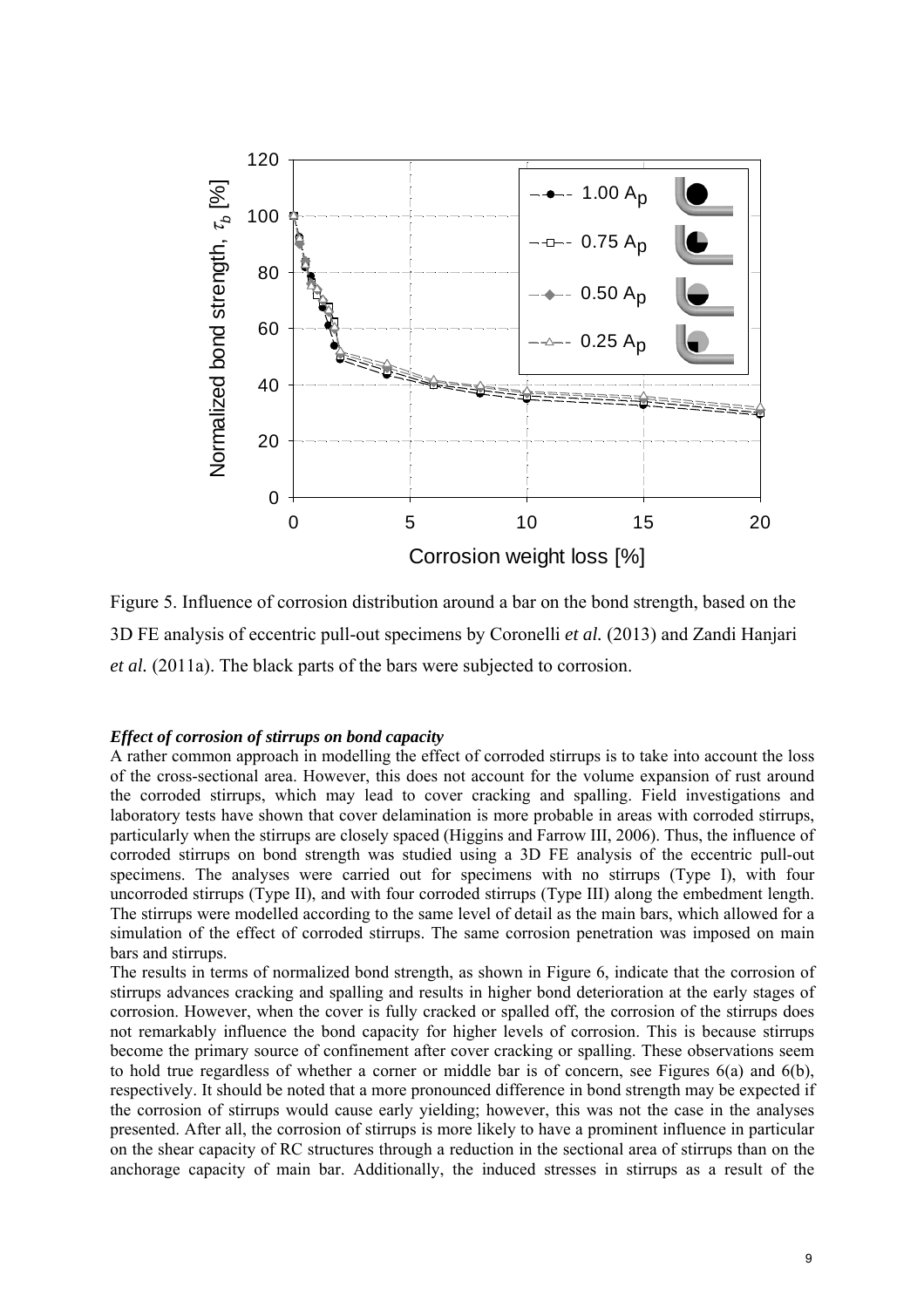

Figure 5. Influence of corrosion distribution around a bar on the bond strength, based on the 3D FE analysis of eccentric pull-out specimens by Coronelli *et al.* (2013) and Zandi Hanjari *et al.* (2011a). The black parts of the bars were subjected to corrosion.

#### *Effect of corrosion of stirrups on bond capacity*

A rather common approach in modelling the effect of corroded stirrups is to take into account the loss of the cross-sectional area. However, this does not account for the volume expansion of rust around the corroded stirrups, which may lead to cover cracking and spalling. Field investigations and laboratory tests have shown that cover delamination is more probable in areas with corroded stirrups, particularly when the stirrups are closely spaced (Higgins and Farrow III, 2006). Thus, the influence of corroded stirrups on bond strength was studied using a 3D FE analysis of the eccentric pull-out specimens. The analyses were carried out for specimens with no stirrups (Type I), with four uncorroded stirrups (Type II), and with four corroded stirrups (Type III) along the embedment length. The stirrups were modelled according to the same level of detail as the main bars, which allowed for a simulation of the effect of corroded stirrups. The same corrosion penetration was imposed on main bars and stirrups.

The results in terms of normalized bond strength, as shown in Figure 6, indicate that the corrosion of stirrups advances cracking and spalling and results in higher bond deterioration at the early stages of corrosion. However, when the cover is fully cracked or spalled off, the corrosion of the stirrups does not remarkably influence the bond capacity for higher levels of corrosion. This is because stirrups become the primary source of confinement after cover cracking or spalling. These observations seem to hold true regardless of whether a corner or middle bar is of concern, see Figures 6(a) and 6(b), respectively. It should be noted that a more pronounced difference in bond strength may be expected if the corrosion of stirrups would cause early yielding; however, this was not the case in the analyses presented. After all, the corrosion of stirrups is more likely to have a prominent influence in particular on the shear capacity of RC structures through a reduction in the sectional area of stirrups than on the anchorage capacity of main bar. Additionally, the induced stresses in stirrups as a result of the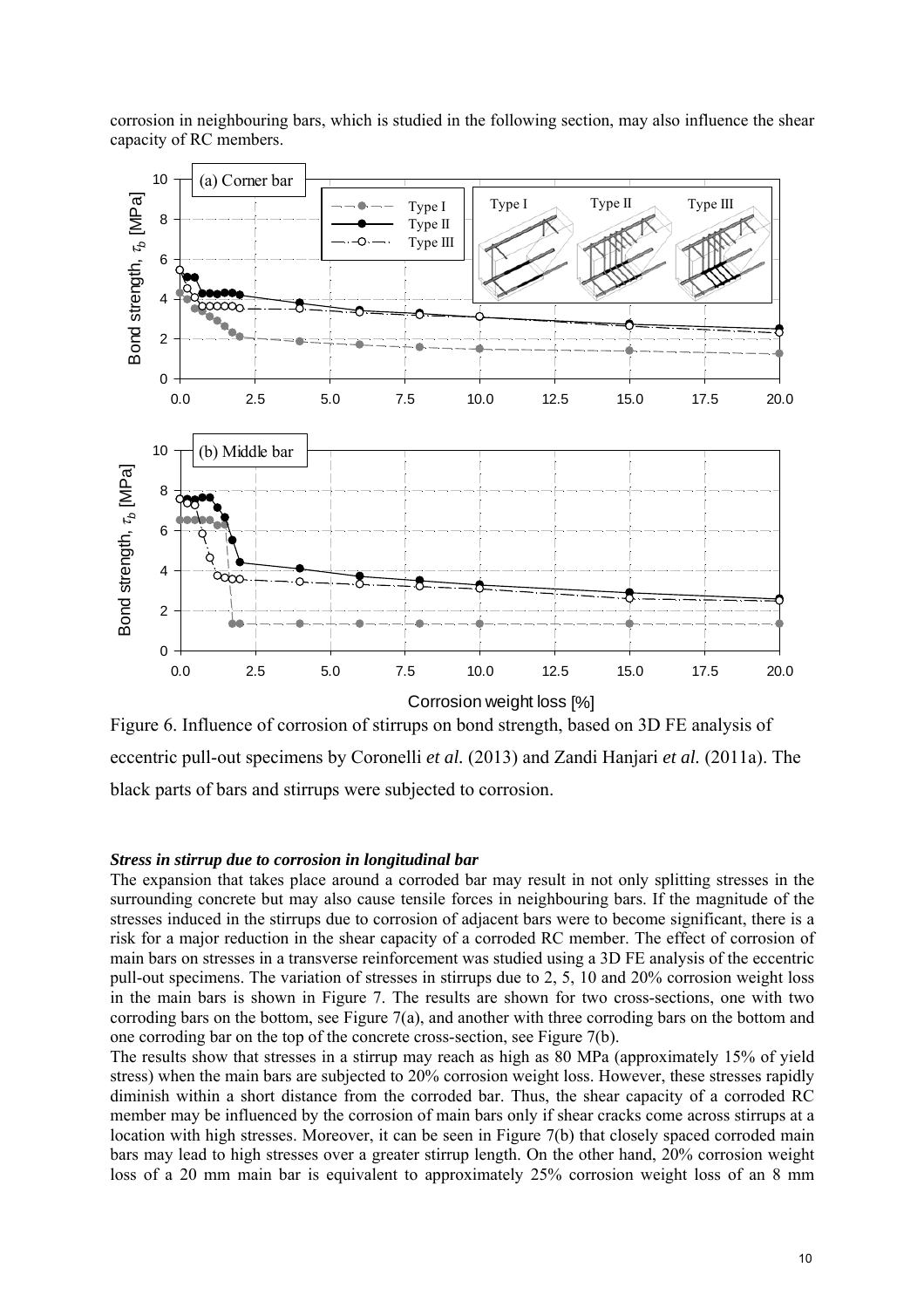corrosion in neighbouring bars, which is studied in the following section, may also influence the shear capacity of RC members.



Figure 6. Influence of corrosion of stirrups on bond strength, based on 3D FE analysis of eccentric pull-out specimens by Coronelli *et al.* (2013) and Zandi Hanjari *et al.* (2011a). The black parts of bars and stirrups were subjected to corrosion.

#### *Stress in stirrup due to corrosion in longitudinal bar*

The expansion that takes place around a corroded bar may result in not only splitting stresses in the surrounding concrete but may also cause tensile forces in neighbouring bars. If the magnitude of the stresses induced in the stirrups due to corrosion of adjacent bars were to become significant, there is a risk for a major reduction in the shear capacity of a corroded RC member. The effect of corrosion of main bars on stresses in a transverse reinforcement was studied using a 3D FE analysis of the eccentric pull-out specimens. The variation of stresses in stirrups due to 2, 5, 10 and 20% corrosion weight loss in the main bars is shown in Figure 7. The results are shown for two cross-sections, one with two corroding bars on the bottom, see Figure 7(a), and another with three corroding bars on the bottom and one corroding bar on the top of the concrete cross-section, see Figure 7(b).

The results show that stresses in a stirrup may reach as high as 80 MPa (approximately 15% of yield stress) when the main bars are subjected to 20% corrosion weight loss. However, these stresses rapidly diminish within a short distance from the corroded bar. Thus, the shear capacity of a corroded RC member may be influenced by the corrosion of main bars only if shear cracks come across stirrups at a location with high stresses. Moreover, it can be seen in Figure 7(b) that closely spaced corroded main bars may lead to high stresses over a greater stirrup length. On the other hand, 20% corrosion weight loss of a 20 mm main bar is equivalent to approximately 25% corrosion weight loss of an 8 mm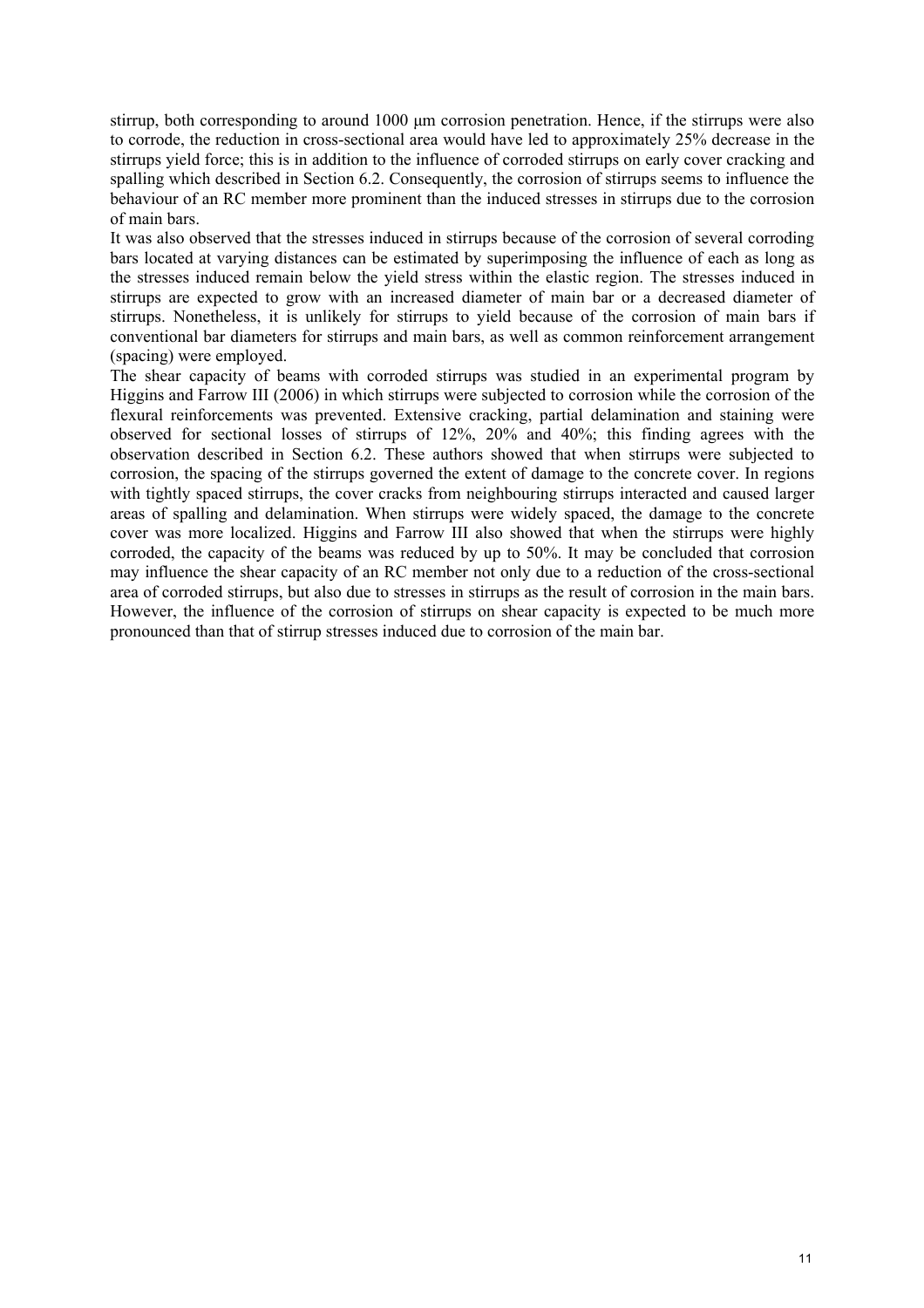stirrup, both corresponding to around 1000 μm corrosion penetration. Hence, if the stirrups were also to corrode, the reduction in cross-sectional area would have led to approximately 25% decrease in the stirrups yield force; this is in addition to the influence of corroded stirrups on early cover cracking and spalling which described in Section 6.2. Consequently, the corrosion of stirrups seems to influence the behaviour of an RC member more prominent than the induced stresses in stirrups due to the corrosion of main bars.

It was also observed that the stresses induced in stirrups because of the corrosion of several corroding bars located at varying distances can be estimated by superimposing the influence of each as long as the stresses induced remain below the yield stress within the elastic region. The stresses induced in stirrups are expected to grow with an increased diameter of main bar or a decreased diameter of stirrups. Nonetheless, it is unlikely for stirrups to yield because of the corrosion of main bars if conventional bar diameters for stirrups and main bars, as well as common reinforcement arrangement (spacing) were employed.

The shear capacity of beams with corroded stirrups was studied in an experimental program by Higgins and Farrow III (2006) in which stirrups were subjected to corrosion while the corrosion of the flexural reinforcements was prevented. Extensive cracking, partial delamination and staining were observed for sectional losses of stirrups of 12%, 20% and 40%; this finding agrees with the observation described in Section 6.2. These authors showed that when stirrups were subjected to corrosion, the spacing of the stirrups governed the extent of damage to the concrete cover. In regions with tightly spaced stirrups, the cover cracks from neighbouring stirrups interacted and caused larger areas of spalling and delamination. When stirrups were widely spaced, the damage to the concrete cover was more localized. Higgins and Farrow III also showed that when the stirrups were highly corroded, the capacity of the beams was reduced by up to 50%. It may be concluded that corrosion may influence the shear capacity of an RC member not only due to a reduction of the cross-sectional area of corroded stirrups, but also due to stresses in stirrups as the result of corrosion in the main bars. However, the influence of the corrosion of stirrups on shear capacity is expected to be much more pronounced than that of stirrup stresses induced due to corrosion of the main bar.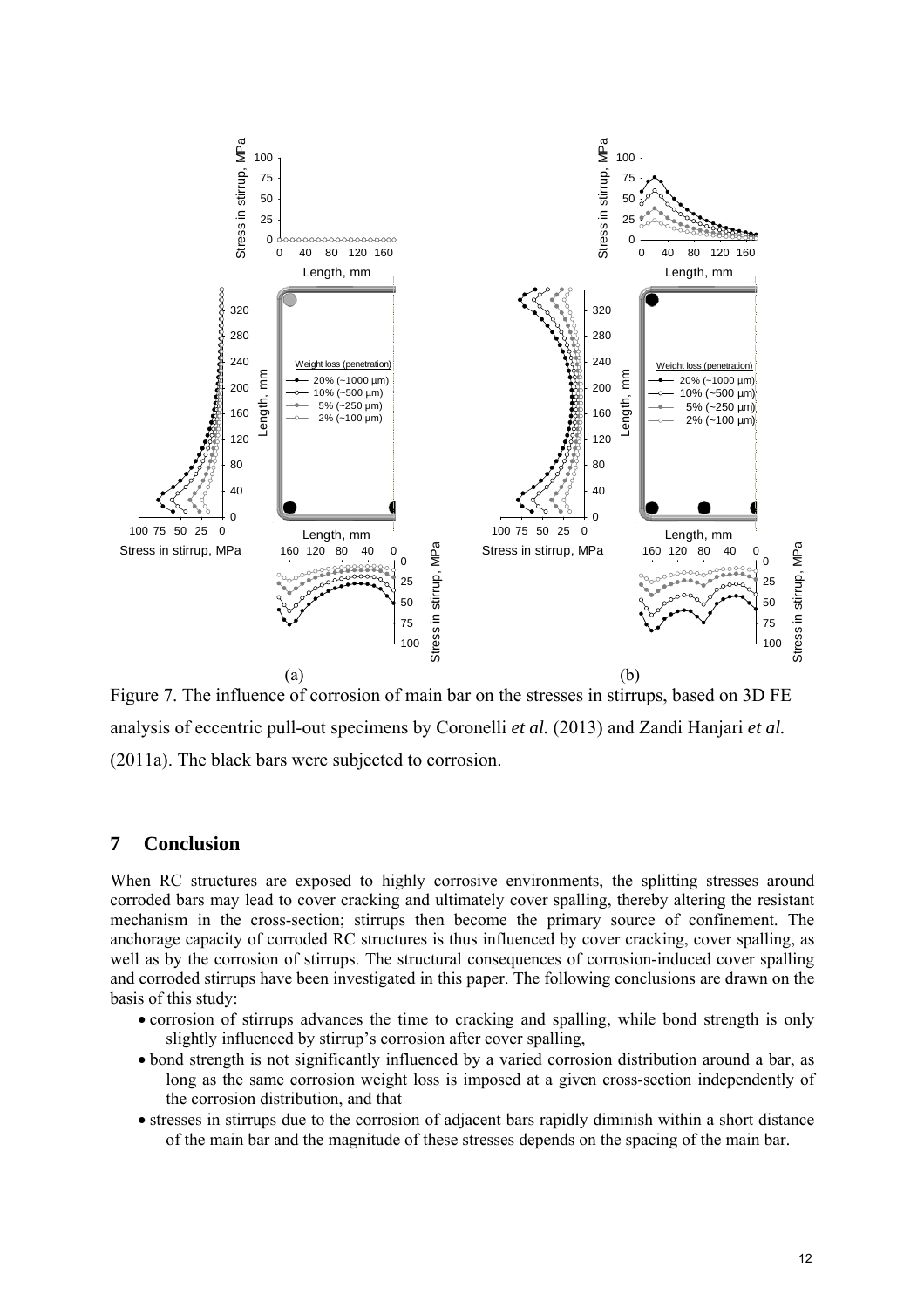

Figure 7. The influence of corrosion of main bar on the stresses in stirrups, based on 3D FE analysis of eccentric pull-out specimens by Coronelli *et al.* (2013) and Zandi Hanjari *et al.* (2011a). The black bars were subjected to corrosion.

# **7 Conclusion**

When RC structures are exposed to highly corrosive environments, the splitting stresses around corroded bars may lead to cover cracking and ultimately cover spalling, thereby altering the resistant mechanism in the cross-section; stirrups then become the primary source of confinement. The anchorage capacity of corroded RC structures is thus influenced by cover cracking, cover spalling, as well as by the corrosion of stirrups. The structural consequences of corrosion-induced cover spalling and corroded stirrups have been investigated in this paper. The following conclusions are drawn on the basis of this study:

- corrosion of stirrups advances the time to cracking and spalling, while bond strength is only slightly influenced by stirrup's corrosion after cover spalling,
- bond strength is not significantly influenced by a varied corrosion distribution around a bar, as long as the same corrosion weight loss is imposed at a given cross-section independently of the corrosion distribution, and that
- stresses in stirrups due to the corrosion of adjacent bars rapidly diminish within a short distance of the main bar and the magnitude of these stresses depends on the spacing of the main bar.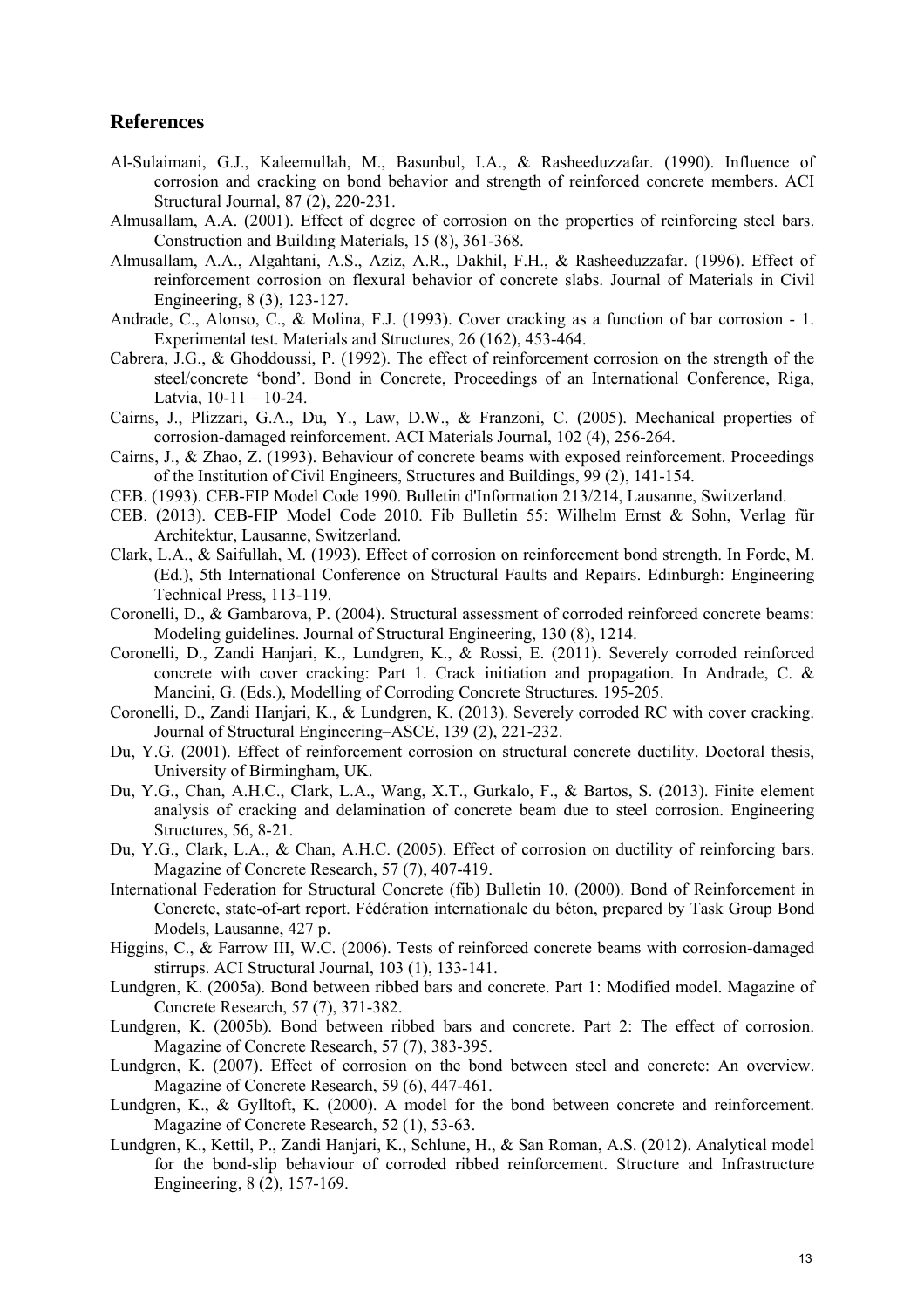### **References**

- Al-Sulaimani, G.J., Kaleemullah, M., Basunbul, I.A., & Rasheeduzzafar. (1990). Influence of corrosion and cracking on bond behavior and strength of reinforced concrete members. ACI Structural Journal, 87 (2), 220-231.
- Almusallam, A.A. (2001). Effect of degree of corrosion on the properties of reinforcing steel bars. Construction and Building Materials, 15 (8), 361-368.
- Almusallam, A.A., Algahtani, A.S., Aziz, A.R., Dakhil, F.H., & Rasheeduzzafar. (1996). Effect of reinforcement corrosion on flexural behavior of concrete slabs. Journal of Materials in Civil Engineering, 8 (3), 123-127.
- Andrade, C., Alonso, C., & Molina, F.J. (1993). Cover cracking as a function of bar corrosion 1. Experimental test. Materials and Structures, 26 (162), 453-464.
- Cabrera, J.G., & Ghoddoussi, P. (1992). The effect of reinforcement corrosion on the strength of the steel/concrete 'bond'. Bond in Concrete, Proceedings of an International Conference, Riga, Latvia,  $10-11-10-24$ .
- Cairns, J., Plizzari, G.A., Du, Y., Law, D.W., & Franzoni, C. (2005). Mechanical properties of corrosion-damaged reinforcement. ACI Materials Journal, 102 (4), 256-264.
- Cairns, J., & Zhao, Z. (1993). Behaviour of concrete beams with exposed reinforcement. Proceedings of the Institution of Civil Engineers, Structures and Buildings, 99 (2), 141-154.
- CEB. (1993). CEB-FIP Model Code 1990. Bulletin d'Information 213/214, Lausanne, Switzerland.
- CEB. (2013). CEB-FIP Model Code 2010. Fib Bulletin 55: Wilhelm Ernst & Sohn, Verlag für Architektur, Lausanne, Switzerland.
- Clark, L.A., & Saifullah, M. (1993). Effect of corrosion on reinforcement bond strength. In Forde, M. (Ed.), 5th International Conference on Structural Faults and Repairs. Edinburgh: Engineering Technical Press, 113-119.
- Coronelli, D., & Gambarova, P. (2004). Structural assessment of corroded reinforced concrete beams: Modeling guidelines. Journal of Structural Engineering, 130 (8), 1214.
- Coronelli, D., Zandi Hanjari, K., Lundgren, K., & Rossi, E. (2011). Severely corroded reinforced concrete with cover cracking: Part 1. Crack initiation and propagation. In Andrade, C. & Mancini, G. (Eds.), Modelling of Corroding Concrete Structures. 195-205.
- Coronelli, D., Zandi Hanjari, K., & Lundgren, K. (2013). Severely corroded RC with cover cracking. Journal of Structural Engineering–ASCE, 139 (2), 221-232.
- Du, Y.G. (2001). Effect of reinforcement corrosion on structural concrete ductility. Doctoral thesis, University of Birmingham, UK.
- Du, Y.G., Chan, A.H.C., Clark, L.A., Wang, X.T., Gurkalo, F., & Bartos, S. (2013). Finite element analysis of cracking and delamination of concrete beam due to steel corrosion. Engineering Structures, 56, 8-21.
- Du, Y.G., Clark, L.A., & Chan, A.H.C. (2005). Effect of corrosion on ductility of reinforcing bars. Magazine of Concrete Research, 57 (7), 407-419.
- International Federation for Structural Concrete (fib) Bulletin 10. (2000). Bond of Reinforcement in Concrete, state-of-art report. Fédération internationale du béton, prepared by Task Group Bond Models, Lausanne, 427 p.
- Higgins, C., & Farrow III, W.C. (2006). Tests of reinforced concrete beams with corrosion-damaged stirrups. ACI Structural Journal, 103 (1), 133-141.
- Lundgren, K. (2005a). Bond between ribbed bars and concrete. Part 1: Modified model. Magazine of Concrete Research, 57 (7), 371-382.
- Lundgren, K. (2005b). Bond between ribbed bars and concrete. Part 2: The effect of corrosion. Magazine of Concrete Research, 57 (7), 383-395.
- Lundgren, K. (2007). Effect of corrosion on the bond between steel and concrete: An overview. Magazine of Concrete Research, 59 (6), 447-461.
- Lundgren, K., & Gylltoft, K. (2000). A model for the bond between concrete and reinforcement. Magazine of Concrete Research, 52 (1), 53-63.
- Lundgren, K., Kettil, P., Zandi Hanjari, K., Schlune, H., & San Roman, A.S. (2012). Analytical model for the bond-slip behaviour of corroded ribbed reinforcement. Structure and Infrastructure Engineering, 8 (2), 157-169.